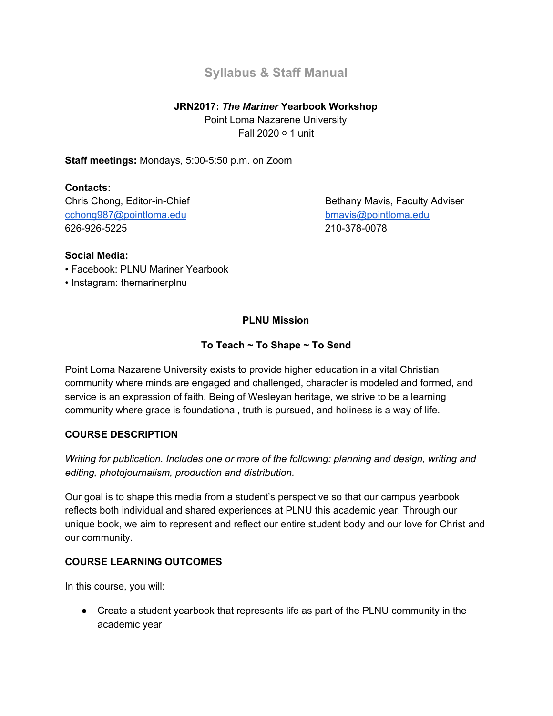# **Syllabus & Staff Manual**

#### **JRN2017:** *The Mariner* **Yearbook Workshop**

Point Loma Nazarene University Fall 2020 ○ 1 unit

#### **Staff meetings:** Mondays, 5:00-5:50 p.m. on Zoom

### **Contacts:**

[cchong987@pointloma.edu](mailto:cchong987@pointloma.edu) [bmavis@pointloma.edu](mailto:bmavis@pointloma.edu) 626-926-5225 210-378-0078

Chris Chong, Editor-in-Chief Bethany Mavis, Faculty Adviser

#### **Social Media:**

- Facebook: PLNU Mariner Yearbook
- Instagram: themarinerplnu

## **PLNU Mission**

### **To Teach ~ To Shape ~ To Send**

Point Loma Nazarene University exists to provide higher education in a vital Christian community where minds are engaged and challenged, character is modeled and formed, and service is an expression of faith. Being of Wesleyan heritage, we strive to be a learning community where grace is foundational, truth is pursued, and holiness is a way of life.

#### **COURSE DESCRIPTION**

*Writing for publication. Includes one or more of the following: planning and design, writing and editing, photojournalism, production and distribution.*

Our goal is to shape this media from a student's perspective so that our campus yearbook reflects both individual and shared experiences at PLNU this academic year. Through our unique book, we aim to represent and reflect our entire student body and our love for Christ and our community.

#### **COURSE LEARNING OUTCOMES**

In this course, you will:

● Create a student yearbook that represents life as part of the PLNU community in the academic year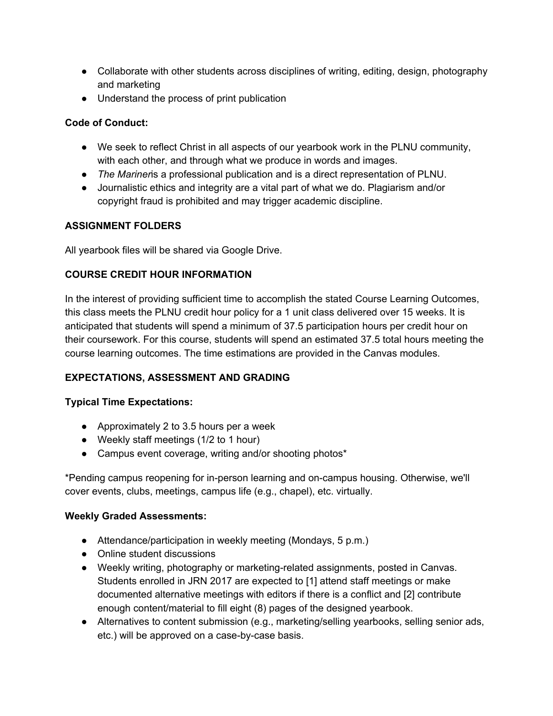- Collaborate with other students across disciplines of writing, editing, design, photography and marketing
- Understand the process of print publication

#### **Code of Conduct:**

- We seek to reflect Christ in all aspects of our yearbook work in the PLNU community, with each other, and through what we produce in words and images.
- *The Mariner*is a professional publication and is a direct representation of PLNU.
- Journalistic ethics and integrity are a vital part of what we do. Plagiarism and/or copyright fraud is prohibited and may trigger academic discipline.

### **ASSIGNMENT FOLDERS**

All yearbook files will be shared via Google Drive.

### **COURSE CREDIT HOUR INFORMATION**

In the interest of providing sufficient time to accomplish the stated Course Learning Outcomes, this class meets the PLNU credit hour policy for a 1 unit class delivered over 15 weeks. It is anticipated that students will spend a minimum of 37.5 participation hours per credit hour on their coursework. For this course, students will spend an estimated 37.5 total hours meeting the course learning outcomes. The time estimations are provided in the Canvas modules.

## **EXPECTATIONS, ASSESSMENT AND GRADING**

#### **Typical Time Expectations:**

- Approximately 2 to 3.5 hours per a week
- Weekly staff meetings (1/2 to 1 hour)
- Campus event coverage, writing and/or shooting photos\*

\*Pending campus reopening for in-person learning and on-campus housing. Otherwise, we'll cover events, clubs, meetings, campus life (e.g., chapel), etc. virtually.

#### **Weekly Graded Assessments:**

- Attendance/participation in weekly meeting (Mondays, 5 p.m.)
- Online student discussions
- Weekly writing, photography or marketing-related assignments, posted in Canvas. Students enrolled in JRN 2017 are expected to [1] attend staff meetings or make documented alternative meetings with editors if there is a conflict and [2] contribute enough content/material to fill eight (8) pages of the designed yearbook.
- Alternatives to content submission (e.g., marketing/selling yearbooks, selling senior ads, etc.) will be approved on a case-by-case basis.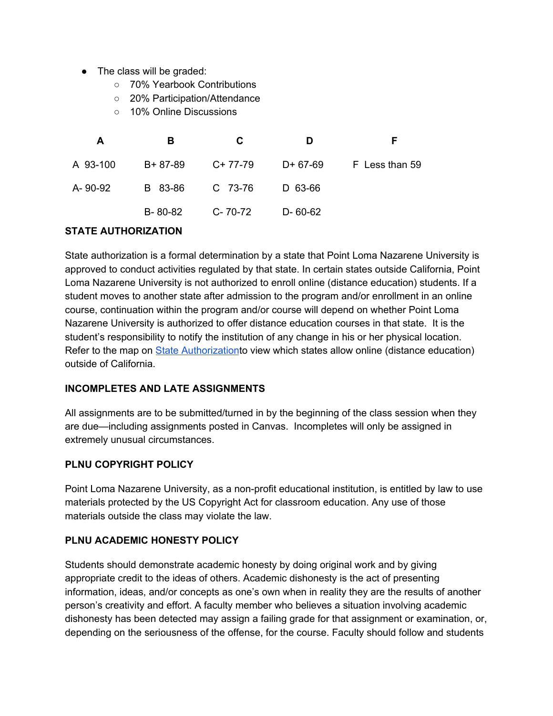- The class will be graded:
	- 70% Yearbook Contributions
	- 20% Participation/Attendance
	- 10% Online Discussions

| A        | в             | C         | D             | F              |
|----------|---------------|-----------|---------------|----------------|
| A 93-100 | $B + 87 - 89$ | $C+77-79$ | D+ 67-69      | F Less than 59 |
| A-90-92  | B 83-86       | C 73-76   | D 63-66       |                |
|          | B-80-82       | C-70-72   | $D - 60 - 62$ |                |

#### **STATE AUTHORIZATION**

State authorization is a formal determination by a state that Point Loma Nazarene University is approved to conduct activities regulated by that state. In certain states outside California, Point Loma Nazarene University is not authorized to enroll online (distance education) students. If a student moves to another state after admission to the program and/or enrollment in an online course, continuation within the program and/or course will depend on whether Point Loma Nazarene University is authorized to offer distance education courses in that state. It is the student's responsibility to notify the institution of any change in his or her physical location. Refer to the map on State [Authorization](https://www.pointloma.edu/offices/office-institutional-effectiveness-research/disclosures)to view which states allow online (distance education) outside of California.

#### **INCOMPLETES AND LATE ASSIGNMENTS**

All assignments are to be submitted/turned in by the beginning of the class session when they are due—including assignments posted in Canvas. Incompletes will only be assigned in extremely unusual circumstances.

#### **PLNU COPYRIGHT POLICY**

Point Loma Nazarene University, as a non-profit educational institution, is entitled by law to use materials protected by the US Copyright Act for classroom education. Any use of those materials outside the class may violate the law.

#### **PLNU ACADEMIC HONESTY POLICY**

Students should demonstrate academic honesty by doing original work and by giving appropriate credit to the ideas of others. Academic dishonesty is the act of presenting information, ideas, and/or concepts as one's own when in reality they are the results of another person's creativity and effort. A faculty member who believes a situation involving academic dishonesty has been detected may assign a failing grade for that assignment or examination, or, depending on the seriousness of the offense, for the course. Faculty should follow and students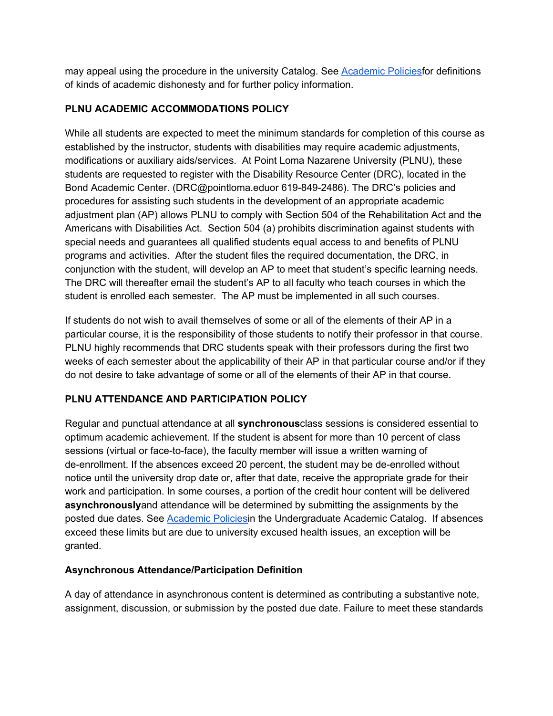may appeal using the procedure in the university Catalog. See [Academic](http://catalog.pointloma.edu/content.php?catoid=18&navoid=1278) Policiesfor definitions of kinds of academic dishonesty and for further policy information.

### **PLNU ACADEMIC ACCOMMODATIONS POLICY**

While all students are expected to meet the minimum standards for completion of this course as established by the instructor, students with disabilities may require academic adjustments, modifications or auxiliary aids/services. At Point Loma Nazarene University (PLNU), these students are requested to register with the Disability Resource Center (DRC), located in the Bond Academic Center. (DRC@pointloma.eduor 619-849-2486). The DRC's policies and procedures for assisting such students in the development of an appropriate academic adjustment plan (AP) allows PLNU to comply with Section 504 of the Rehabilitation Act and the Americans with Disabilities Act. Section 504 (a) prohibits discrimination against students with special needs and guarantees all qualified students equal access to and benefits of PLNU programs and activities. After the student files the required documentation, the DRC, in conjunction with the student, will develop an AP to meet that student's specific learning needs. The DRC will thereafter email the student's AP to all faculty who teach courses in which the student is enrolled each semester. The AP must be implemented in all such courses.

If students do not wish to avail themselves of some or all of the elements of their AP in a particular course, it is the responsibility of those students to notify their professor in that course. PLNU highly recommends that DRC students speak with their professors during the first two weeks of each semester about the applicability of their AP in that particular course and/or if they do not desire to take advantage of some or all of the elements of their AP in that course.

## **PLNU ATTENDANCE AND PARTICIPATION POLICY**

Regular and punctual attendance at all **synchronous**class sessions is considered essential to optimum academic achievement. If the student is absent for more than 10 percent of class sessions (virtual or face-to-face), the faculty member will issue a written warning of de-enrollment. If the absences exceed 20 percent, the student may be de-enrolled without notice until the university drop date or, after that date, receive the appropriate grade for their work and participation. In some courses, a portion of the credit hour content will be delivered **asynchronously**and attendance will be determined by submitting the assignments by the posted due dates. See [Academic](https://catalog.pointloma.edu/content.php?catoid=46&navoid=2650#Class_Attendance) Policiesin the Undergraduate Academic Catalog. If absences exceed these limits but are due to university excused health issues, an exception will be granted.

## **Asynchronous Attendance/Participation Definition**

A day of attendance in asynchronous content is determined as contributing a substantive note, assignment, discussion, or submission by the posted due date. Failure to meet these standards